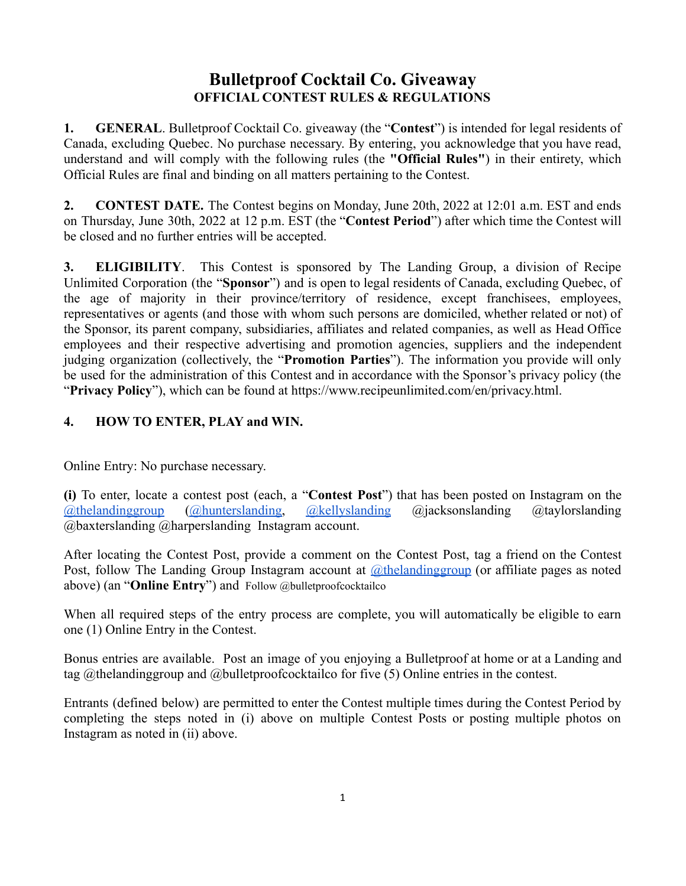## **Bulletproof Cocktail Co. Giveaway OFFICIAL CONTEST RULES & REGULATIONS**

**1. GENERAL**. Bulletproof Cocktail Co. giveaway (the "**Contest**") is intended for legal residents of Canada, excluding Quebec. No purchase necessary. By entering, you acknowledge that you have read, understand and will comply with the following rules (the **"Official Rules"**) in their entirety, which Official Rules are final and binding on all matters pertaining to the Contest.

**2. CONTEST DATE.** The Contest begins on Monday, June 20th, 2022 at 12:01 a.m. EST and ends on Thursday, June 30th, 2022 at 12 p.m. EST (the "**Contest Period**") after which time the Contest will be closed and no further entries will be accepted.

**3. ELIGIBILITY**. This Contest is sponsored by The Landing Group, a division of Recipe Unlimited Corporation (the "**Sponsor**") and is open to legal residents of Canada, excluding Quebec, of the age of majority in their province/territory of residence, except franchisees, employees, representatives or agents (and those with whom such persons are domiciled, whether related or not) of the Sponsor, its parent company, subsidiaries, affiliates and related companies, as well as Head Office employees and their respective advertising and promotion agencies, suppliers and the independent judging organization (collectively, the "**Promotion Parties**"). The information you provide will only be used for the administration of this Contest and in accordance with the Sponsor's privacy policy (the "**Privacy Policy**"), which can be found at [https://www.recipeunlimited.com/en/privacy.html.](https://www.recipeunlimited.com/en/privacy.html)

## **4. HOW TO ENTER, PLAY and WIN.**

Online Entry: No purchase necessary.

**(i)** To enter, locate a contest post (each, a "**Contest Post**") that has been posted on Instagram on th[e](https://www.instagram.com/kelseysroadhouse/) [@thelandinggroup](https://www.instagram.com/thelandinggroup/) [\(@hunterslanding,](https://www.instagram.com/hunterslanding/) [@kellyslanding](https://www.instagram.com/kellys.landing/) @jacksonslanding @taylorslanding @baxterslanding @harperslanding Instagram account.

After locating the Contest Post, provide a comment on the Contest Post, tag a friend on the Contest Post, follow The Landing Group Instagram account at *[@thelandinggroup](https://www.instagram.com/thelandinggroup/)* (or affiliate pages as noted above) (an "**Online Entry**") and Follow @bulletproofcocktailco

When all required steps of the entry process are complete, you will automatically be eligible to earn one (1) Online Entry in the Contest.

Bonus entries are available. Post an image of you enjoying a Bulletproof at home or at a Landing and tag @thelandinggroup and @bulletproofcocktailco for five (5) Online entries in the contest.

Entrants (defined below) are permitted to enter the Contest multiple times during the Contest Period by completing the steps noted in (i) above on multiple Contest Posts or posting multiple photos on Instagram as noted in (ii) above.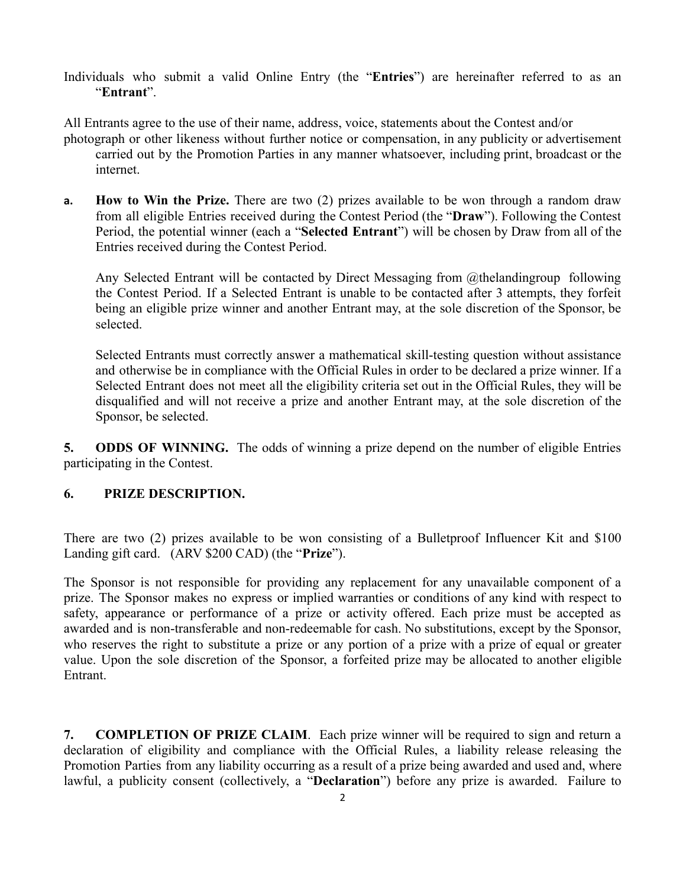Individuals who submit a valid Online Entry (the "**Entries**") are hereinafter referred to as an "**Entrant**".

All Entrants agree to the use of their name, address, voice, statements about the Contest and/or

- photograph or other likeness without further notice or compensation, in any publicity or advertisement carried out by the Promotion Parties in any manner whatsoever, including print, broadcast or the internet.
- **a. How to Win the Prize.** There are two (2) prizes available to be won through a random draw from all eligible Entries received during the Contest Period (the "**Draw**"). Following the Contest Period, the potential winner (each a "**Selected Entrant**") will be chosen by Draw from all of the Entries received during the Contest Period.

Any Selected Entrant will be contacted by Direct Messaging from @thelandingroup following the Contest Period. If a Selected Entrant is unable to be contacted after 3 attempts, they forfeit being an eligible prize winner and another Entrant may, at the sole discretion of the Sponsor, be selected.

Selected Entrants must correctly answer a mathematical skill-testing question without assistance and otherwise be in compliance with the Official Rules in order to be declared a prize winner. If a Selected Entrant does not meet all the eligibility criteria set out in the Official Rules, they will be disqualified and will not receive a prize and another Entrant may, at the sole discretion of the Sponsor, be selected.

**5. ODDS OF WINNING.** The odds of winning a prize depend on the number of eligible Entries participating in the Contest.

## **6. PRIZE DESCRIPTION.**

There are two (2) prizes available to be won consisting of a Bulletproof Influencer Kit and \$100 Landing gift card. (ARV \$200 CAD) (the "**Prize**").

The Sponsor is not responsible for providing any replacement for any unavailable component of a prize. The Sponsor makes no express or implied warranties or conditions of any kind with respect to safety, appearance or performance of a prize or activity offered. Each prize must be accepted as awarded and is non-transferable and non-redeemable for cash. No substitutions, except by the Sponsor, who reserves the right to substitute a prize or any portion of a prize with a prize of equal or greater value. Upon the sole discretion of the Sponsor, a forfeited prize may be allocated to another eligible Entrant.

**7. COMPLETION OF PRIZE CLAIM**. Each prize winner will be required to sign and return a declaration of eligibility and compliance with the Official Rules, a liability release releasing the Promotion Parties from any liability occurring as a result of a prize being awarded and used and, where lawful, a publicity consent (collectively, a "**Declaration**") before any prize is awarded. Failure to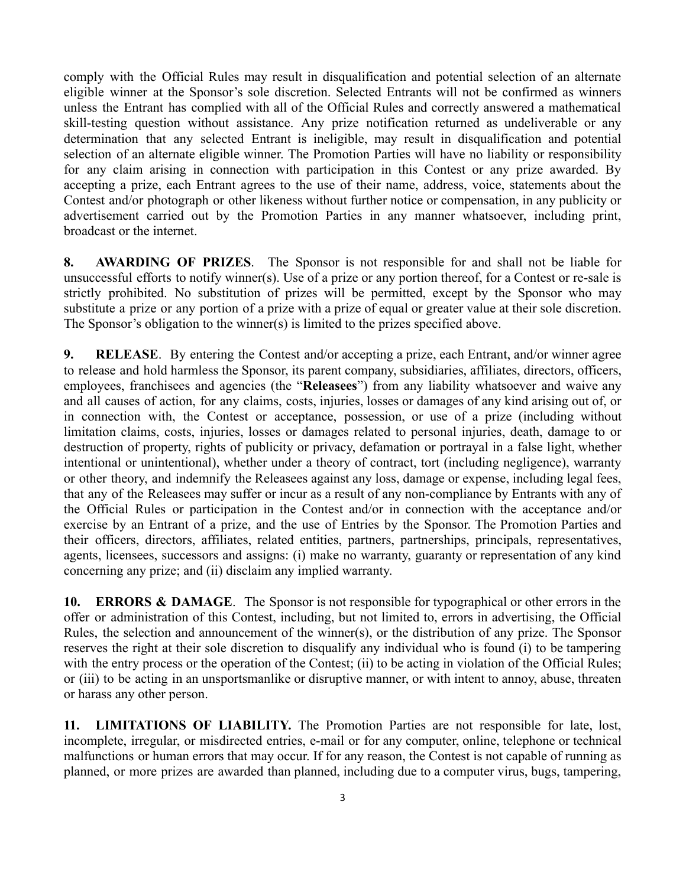comply with the Official Rules may result in disqualification and potential selection of an alternate eligible winner at the Sponsor's sole discretion. Selected Entrants will not be confirmed as winners unless the Entrant has complied with all of the Official Rules and correctly answered a mathematical skill-testing question without assistance. Any prize notification returned as undeliverable or any determination that any selected Entrant is ineligible, may result in disqualification and potential selection of an alternate eligible winner. The Promotion Parties will have no liability or responsibility for any claim arising in connection with participation in this Contest or any prize awarded. By accepting a prize, each Entrant agrees to the use of their name, address, voice, statements about the Contest and/or photograph or other likeness without further notice or compensation, in any publicity or advertisement carried out by the Promotion Parties in any manner whatsoever, including print, broadcast or the internet.

**8. AWARDING OF PRIZES**. The Sponsor is not responsible for and shall not be liable for unsuccessful efforts to notify winner(s). Use of a prize or any portion thereof, for a Contest or re-sale is strictly prohibited. No substitution of prizes will be permitted, except by the Sponsor who may substitute a prize or any portion of a prize with a prize of equal or greater value at their sole discretion. The Sponsor's obligation to the winner(s) is limited to the prizes specified above.

**9. RELEASE**. By entering the Contest and/or accepting a prize, each Entrant, and/or winner agree to release and hold harmless the Sponsor, its parent company, subsidiaries, affiliates, directors, officers, employees, franchisees and agencies (the "**Releasees**") from any liability whatsoever and waive any and all causes of action, for any claims, costs, injuries, losses or damages of any kind arising out of, or in connection with, the Contest or acceptance, possession, or use of a prize (including without limitation claims, costs, injuries, losses or damages related to personal injuries, death, damage to or destruction of property, rights of publicity or privacy, defamation or portrayal in a false light, whether intentional or unintentional), whether under a theory of contract, tort (including negligence), warranty or other theory, and indemnify the Releasees against any loss, damage or expense, including legal fees, that any of the Releasees may suffer or incur as a result of any non-compliance by Entrants with any of the Official Rules or participation in the Contest and/or in connection with the acceptance and/or exercise by an Entrant of a prize, and the use of Entries by the Sponsor. The Promotion Parties and their officers, directors, affiliates, related entities, partners, partnerships, principals, representatives, agents, licensees, successors and assigns: (i) make no warranty, guaranty or representation of any kind concerning any prize; and (ii) disclaim any implied warranty.

**10. ERRORS & DAMAGE**. The Sponsor is not responsible for typographical or other errors in the offer or administration of this Contest, including, but not limited to, errors in advertising, the Official Rules, the selection and announcement of the winner(s), or the distribution of any prize. The Sponsor reserves the right at their sole discretion to disqualify any individual who is found (i) to be tampering with the entry process or the operation of the Contest; (ii) to be acting in violation of the Official Rules; or (iii) to be acting in an unsportsmanlike or disruptive manner, or with intent to annoy, abuse, threaten or harass any other person.

**11. LIMITATIONS OF LIABILITY.** The Promotion Parties are not responsible for late, lost, incomplete, irregular, or misdirected entries, e-mail or for any computer, online, telephone or technical malfunctions or human errors that may occur. If for any reason, the Contest is not capable of running as planned, or more prizes are awarded than planned, including due to a computer virus, bugs, tampering,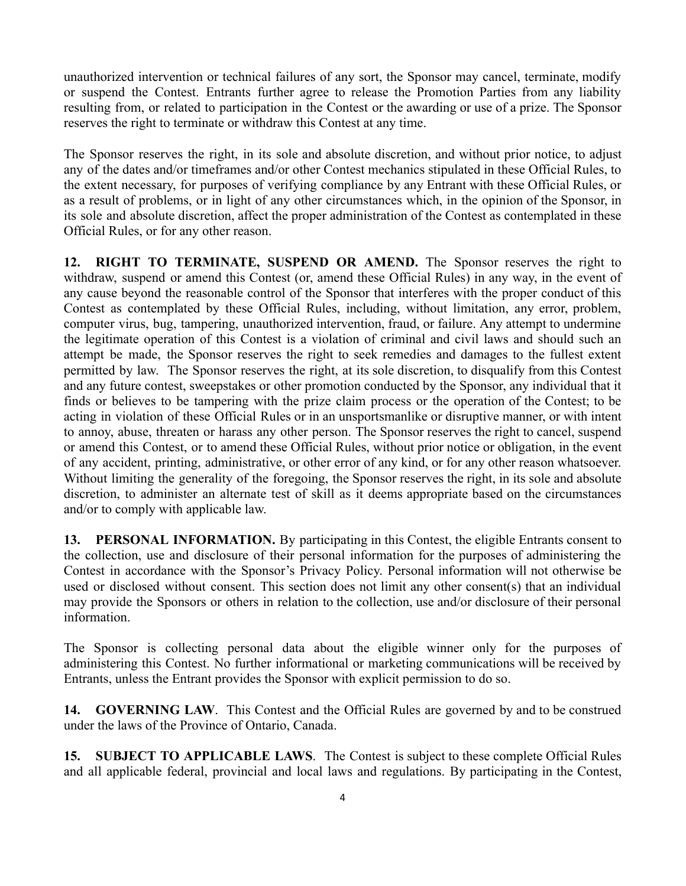unauthorized intervention or technical failures of any sort, the Sponsor may cancel, terminate, modify or suspend the Contest. Entrants further agree to release the Promotion Parties from any liability resulting from, or related to participation in the Contest or the awarding or use of a prize. The Sponsor reserves the right to terminate or withdraw this Contest at any time.

The Sponsor reserves the right, in its sole and absolute discretion, and without prior notice, to adjust any of the dates and/or timeframes and/or other Contest mechanics stipulated in these Official Rules, to the extent necessary, for purposes of verifying compliance by any Entrant with these Official Rules, or as a result of problems, or in light of any other circumstances which, in the opinion of the Sponsor, in its sole and absolute discretion, affect the proper administration of the Contest as contemplated in these Official Rules, or for any other reason.

**12. RIGHT TO TERMINATE, SUSPEND OR AMEND.** The Sponsor reserves the right to withdraw, suspend or amend this Contest (or, amend these Official Rules) in any way, in the event of any cause beyond the reasonable control of the Sponsor that interferes with the proper conduct of this Contest as contemplated by these Official Rules, including, without limitation, any error, problem, computer virus, bug, tampering, unauthorized intervention, fraud, or failure. Any attempt to undermine the legitimate operation of this Contest is a violation of criminal and civil laws and should such an attempt be made, the Sponsor reserves the right to seek remedies and damages to the fullest extent permitted by law. The Sponsor reserves the right, at its sole discretion, to disqualify from this Contest and any future contest, sweepstakes or other promotion conducted by the Sponsor, any individual that it finds or believes to be tampering with the prize claim process or the operation of the Contest; to be acting in violation of these Official Rules or in an unsportsmanlike or disruptive manner, or with intent to annoy, abuse, threaten or harass any other person. The Sponsor reserves the right to cancel, suspend or amend this Contest, or to amend these Official Rules, without prior notice or obligation, in the event of any accident, printing, administrative, or other error of any kind, or for any other reason whatsoever. Without limiting the generality of the foregoing, the Sponsor reserves the right, in its sole and absolute discretion, to administer an alternate test of skill as it deems appropriate based on the circumstances and/or to comply with applicable law.

**13. PERSONAL INFORMATION.** By participating in this Contest, the eligible Entrants consent to the collection, use and disclosure of their personal information for the purposes of administering the Contest in accordance with the Sponsor's Privacy Policy. Personal information will not otherwise be used or disclosed without consent. This section does not limit any other consent(s) that an individual may provide the Sponsors or others in relation to the collection, use and/or disclosure of their personal information.

The Sponsor is collecting personal data about the eligible winner only for the purposes of administering this Contest. No further informational or marketing communications will be received by Entrants, unless the Entrant provides the Sponsor with explicit permission to do so.

**14. GOVERNING LAW**. This Contest and the Official Rules are governed by and to be construed under the laws of the Province of Ontario, Canada.

**15. SUBJECT TO APPLICABLE LAWS**. The Contest is subject to these complete Official Rules and all applicable federal, provincial and local laws and regulations. By participating in the Contest,